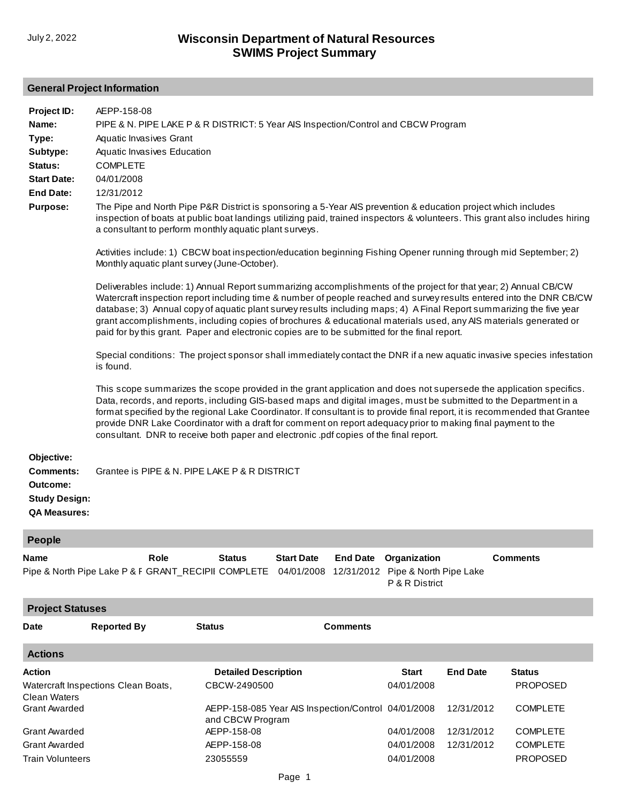## **General Project Information**

| Project ID:<br>Name:<br>Type:<br>Subtype:<br>Status:<br><b>Start Date:</b><br><b>End Date:</b><br><b>Purpose:</b> | AEPP-158-08<br>PIPE & N. PIPE LAKE P & R DISTRICT: 5 Year AIS Inspection/Control and CBCW Program<br>Aquatic Invasives Grant<br>Aquatic Invasives Education<br><b>COMPLETE</b><br>04/01/2008<br>12/31/2012<br>The Pipe and North Pipe P&R District is sponsoring a 5-Year AIS prevention & education project which includes<br>inspection of boats at public boat landings utilizing paid, trained inspectors & volunteers. This grant also includes hiring<br>a consultant to perform monthly aquatic plant surveys.<br>Activities include: 1) CBCW boat inspection/education beginning Fishing Opener running through mid September; 2)<br>Monthly aquatic plant survey (June-October).<br>Deliverables include: 1) Annual Report summarizing accomplishments of the project for that year; 2) Annual CB/CW<br>Watercraft inspection report including time & number of people reached and survey results entered into the DNR CB/CW<br>database; 3) Annual copy of aquatic plant survey results including maps; 4) A Final Report summarizing the five year<br>grant accomplishments, including copies of brochures & educational materials used, any AIS materials generated or |                                                                                         |                   |                 |                                                |                 |                                    |  |
|-------------------------------------------------------------------------------------------------------------------|------------------------------------------------------------------------------------------------------------------------------------------------------------------------------------------------------------------------------------------------------------------------------------------------------------------------------------------------------------------------------------------------------------------------------------------------------------------------------------------------------------------------------------------------------------------------------------------------------------------------------------------------------------------------------------------------------------------------------------------------------------------------------------------------------------------------------------------------------------------------------------------------------------------------------------------------------------------------------------------------------------------------------------------------------------------------------------------------------------------------------------------------------------------------------------|-----------------------------------------------------------------------------------------|-------------------|-----------------|------------------------------------------------|-----------------|------------------------------------|--|
|                                                                                                                   | paid for by this grant. Paper and electronic copies are to be submitted for the final report.<br>Special conditions: The project sponsor shall immediately contact the DNR if a new aquatic invasive species infestation<br>is found.                                                                                                                                                                                                                                                                                                                                                                                                                                                                                                                                                                                                                                                                                                                                                                                                                                                                                                                                              |                                                                                         |                   |                 |                                                |                 |                                    |  |
|                                                                                                                   | This scope summarizes the scope provided in the grant application and does not supersede the application specifics.<br>Data, records, and reports, including GIS-based maps and digital images, must be submitted to the Department in a<br>format specified by the regional Lake Coordinator. If consultant is to provide final report, it is recommended that Grantee<br>provide DNR Lake Coordinator with a draft for comment on report adequacy prior to making final payment to the<br>consultant. DNR to receive both paper and electronic .pdf copies of the final report.                                                                                                                                                                                                                                                                                                                                                                                                                                                                                                                                                                                                  |                                                                                         |                   |                 |                                                |                 |                                    |  |
| Objective:<br><b>Comments:</b><br>Outcome:<br><b>Study Design:</b><br><b>QA Measures:</b>                         | Grantee is PIPE & N. PIPE LAKE P & R DISTRICT                                                                                                                                                                                                                                                                                                                                                                                                                                                                                                                                                                                                                                                                                                                                                                                                                                                                                                                                                                                                                                                                                                                                      |                                                                                         |                   |                 |                                                |                 |                                    |  |
| <b>People</b>                                                                                                     |                                                                                                                                                                                                                                                                                                                                                                                                                                                                                                                                                                                                                                                                                                                                                                                                                                                                                                                                                                                                                                                                                                                                                                                    |                                                                                         |                   |                 |                                                |                 |                                    |  |
| name<br><b>Project Statuses</b>                                                                                   | Role<br>Pipe & North Pipe Lake P & F GRANT_RECIPII COMPLETE 04/01/2008 12/31/2012 Pipe & North Pipe Lake                                                                                                                                                                                                                                                                                                                                                                                                                                                                                                                                                                                                                                                                                                                                                                                                                                                                                                                                                                                                                                                                           | <b>Status</b>                                                                           | <b>Start Date</b> |                 | <b>End Date Organization</b><br>P & R District |                 | <b>Comments</b>                    |  |
| <b>Date</b>                                                                                                       | <b>Reported By</b>                                                                                                                                                                                                                                                                                                                                                                                                                                                                                                                                                                                                                                                                                                                                                                                                                                                                                                                                                                                                                                                                                                                                                                 | <b>Status</b>                                                                           |                   | <b>Comments</b> |                                                |                 |                                    |  |
|                                                                                                                   |                                                                                                                                                                                                                                                                                                                                                                                                                                                                                                                                                                                                                                                                                                                                                                                                                                                                                                                                                                                                                                                                                                                                                                                    |                                                                                         |                   |                 |                                                |                 |                                    |  |
| <b>Actions</b>                                                                                                    |                                                                                                                                                                                                                                                                                                                                                                                                                                                                                                                                                                                                                                                                                                                                                                                                                                                                                                                                                                                                                                                                                                                                                                                    |                                                                                         |                   |                 |                                                |                 |                                    |  |
| <b>Action</b>                                                                                                     |                                                                                                                                                                                                                                                                                                                                                                                                                                                                                                                                                                                                                                                                                                                                                                                                                                                                                                                                                                                                                                                                                                                                                                                    | <b>Detailed Description</b>                                                             |                   |                 | <b>Start</b>                                   | <b>End Date</b> | <b>Status</b>                      |  |
| <b>Clean Waters</b><br><b>Grant Awarded</b>                                                                       | Watercraft Inspections Clean Boats,                                                                                                                                                                                                                                                                                                                                                                                                                                                                                                                                                                                                                                                                                                                                                                                                                                                                                                                                                                                                                                                                                                                                                | CBCW-2490500<br>AEPP-158-085 Year AIS Inspection/Control 04/01/2008<br>and CBCW Program |                   |                 | 04/01/2008                                     | 12/31/2012      | <b>PROPOSED</b><br><b>COMPLETE</b> |  |
| <b>Grant Awarded</b>                                                                                              |                                                                                                                                                                                                                                                                                                                                                                                                                                                                                                                                                                                                                                                                                                                                                                                                                                                                                                                                                                                                                                                                                                                                                                                    | AEPP-158-08                                                                             |                   |                 | 04/01/2008                                     | 12/31/2012      | <b>COMPLETE</b>                    |  |
| <b>Grant Awarded</b>                                                                                              |                                                                                                                                                                                                                                                                                                                                                                                                                                                                                                                                                                                                                                                                                                                                                                                                                                                                                                                                                                                                                                                                                                                                                                                    | AEPP-158-08                                                                             |                   |                 | 04/01/2008                                     | 12/31/2012      | <b>COMPLETE</b>                    |  |
| <b>Train Volunteers</b>                                                                                           |                                                                                                                                                                                                                                                                                                                                                                                                                                                                                                                                                                                                                                                                                                                                                                                                                                                                                                                                                                                                                                                                                                                                                                                    | 23055559                                                                                |                   |                 | 04/01/2008                                     |                 | <b>PROPOSED</b>                    |  |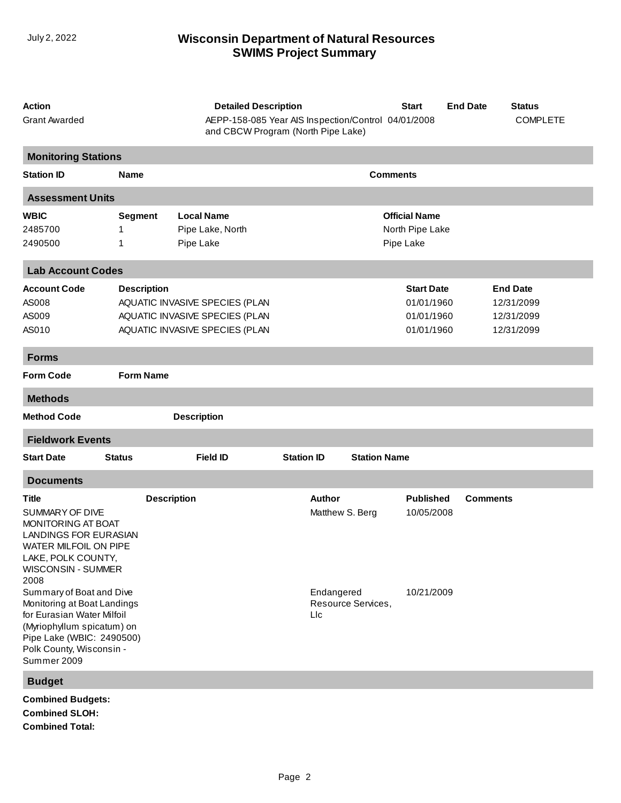## **SWIMS Project Summary** July 2, 2022 **Wisconsin Department of Natural Resources**

| <b>Action</b><br><b>Grant Awarded</b>                                                                                                                                                       | <b>Detailed Description</b><br>AEPP-158-085 Year AIS Inspection/Control 04/01/2008<br>and CBCW Program (North Pipe Lake) |                                |                   |                                  | <b>Start</b>                   | <b>End Date</b> | <b>Status</b><br><b>COMPLETE</b> |
|---------------------------------------------------------------------------------------------------------------------------------------------------------------------------------------------|--------------------------------------------------------------------------------------------------------------------------|--------------------------------|-------------------|----------------------------------|--------------------------------|-----------------|----------------------------------|
| <b>Monitoring Stations</b>                                                                                                                                                                  |                                                                                                                          |                                |                   |                                  |                                |                 |                                  |
| <b>Station ID</b>                                                                                                                                                                           | <b>Name</b>                                                                                                              |                                |                   |                                  | <b>Comments</b>                |                 |                                  |
| <b>Assessment Units</b>                                                                                                                                                                     |                                                                                                                          |                                |                   |                                  |                                |                 |                                  |
| <b>WBIC</b>                                                                                                                                                                                 | <b>Segment</b>                                                                                                           | <b>Local Name</b>              |                   |                                  | <b>Official Name</b>           |                 |                                  |
| 2485700                                                                                                                                                                                     | 1                                                                                                                        | Pipe Lake, North               |                   |                                  | North Pipe Lake                |                 |                                  |
| 2490500                                                                                                                                                                                     | 1                                                                                                                        | Pipe Lake                      |                   |                                  | Pipe Lake                      |                 |                                  |
| <b>Lab Account Codes</b>                                                                                                                                                                    |                                                                                                                          |                                |                   |                                  |                                |                 |                                  |
| <b>Account Code</b>                                                                                                                                                                         | <b>Description</b>                                                                                                       |                                |                   |                                  | <b>Start Date</b>              |                 | <b>End Date</b>                  |
| AS008                                                                                                                                                                                       |                                                                                                                          | AQUATIC INVASIVE SPECIES (PLAN |                   |                                  | 01/01/1960                     |                 | 12/31/2099                       |
| AS009                                                                                                                                                                                       |                                                                                                                          | AQUATIC INVASIVE SPECIES (PLAN |                   |                                  | 01/01/1960                     |                 | 12/31/2099                       |
| AS010                                                                                                                                                                                       |                                                                                                                          | AQUATIC INVASIVE SPECIES (PLAN |                   |                                  | 01/01/1960                     |                 | 12/31/2099                       |
| <b>Forms</b>                                                                                                                                                                                |                                                                                                                          |                                |                   |                                  |                                |                 |                                  |
| <b>Form Code</b>                                                                                                                                                                            | <b>Form Name</b>                                                                                                         |                                |                   |                                  |                                |                 |                                  |
| <b>Methods</b>                                                                                                                                                                              |                                                                                                                          |                                |                   |                                  |                                |                 |                                  |
| <b>Method Code</b>                                                                                                                                                                          |                                                                                                                          | <b>Description</b>             |                   |                                  |                                |                 |                                  |
| <b>Fieldwork Events</b>                                                                                                                                                                     |                                                                                                                          |                                |                   |                                  |                                |                 |                                  |
| <b>Start Date</b>                                                                                                                                                                           | <b>Status</b>                                                                                                            | <b>Field ID</b>                | <b>Station ID</b> | <b>Station Name</b>              |                                |                 |                                  |
| <b>Documents</b>                                                                                                                                                                            |                                                                                                                          |                                |                   |                                  |                                |                 |                                  |
| Title<br>SUMMARY OF DIVE<br>MONITORING AT BOAT<br><b>LANDINGS FOR EURASIAN</b><br>WATER MILFOIL ON PIPE<br>LAKE, POLK COUNTY,<br><b>WISCONSIN - SUMMER</b><br>2008                          | <b>Description</b>                                                                                                       |                                |                   | <b>Author</b><br>Matthew S. Berg | <b>Published</b><br>10/05/2008 | <b>Comments</b> |                                  |
| Summary of Boat and Dive<br>Monitoring at Boat Landings<br>for Eurasian Water Milfoil<br>(Myriophyllum spicatum) on<br>Pipe Lake (WBIC: 2490500)<br>Polk County, Wisconsin -<br>Summer 2009 |                                                                                                                          |                                | Llc               | Endangered<br>Resource Services, | 10/21/2009                     |                 |                                  |
| <b>Budget</b>                                                                                                                                                                               |                                                                                                                          |                                |                   |                                  |                                |                 |                                  |
| <b>Combined Budgets:</b><br>Combined SLOH.                                                                                                                                                  |                                                                                                                          |                                |                   |                                  |                                |                 |                                  |

**Combined SLOH: Combined Total:**